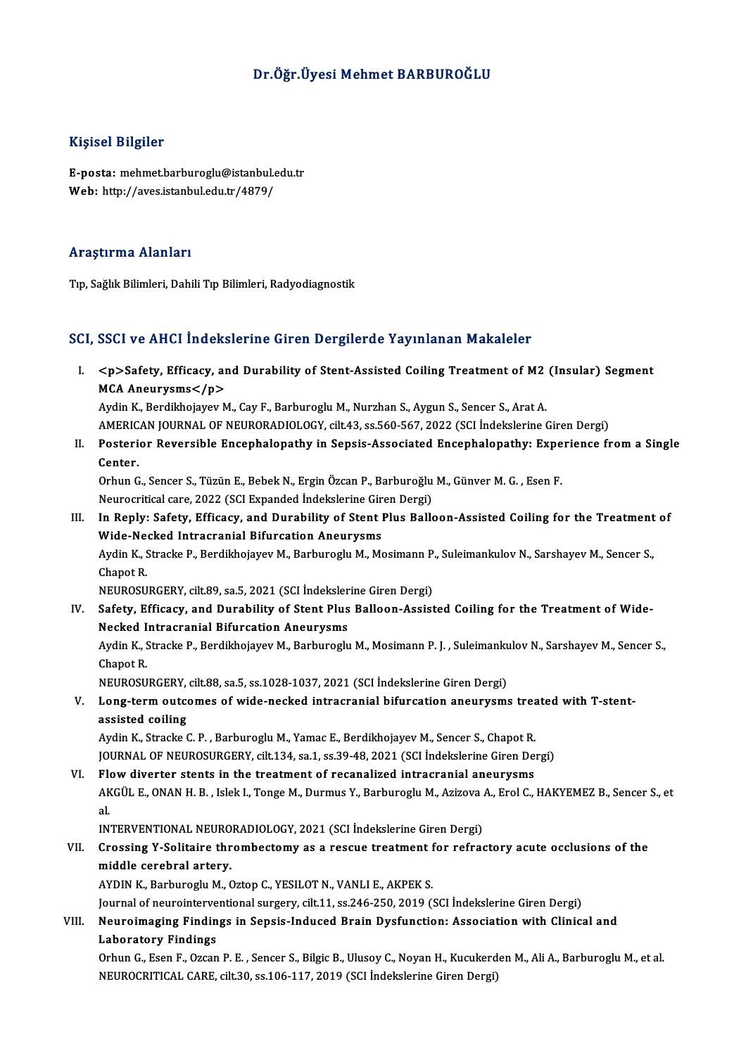# Dr.Öğr.Üyesi Mehmet BARBUROĞLU

### Kişisel Bilgiler

Kişisel Bilgiler<br>E-posta: mehmet.barburoglu@istanbul.edu.tr<br>Web: http://aves.istanbul.edu.tr/4879/ 11131051 D1151101<br>E-posta: mehmet.barburoglu@istanbul.e<br>Web: http://aves.istanbul.edu.tr/4879/ Web: http://aves.istanbul.edu.tr/4879/<br>Araştırma Alanları

Tıp, Sağlık Bilimleri, Dahili Tıp Bilimleri, Radyodiagnostik

### SCI, SSCI ve AHCI İndekslerine Giren Dergilerde Yayınlanan Makaleler

CI, SSCI ve AHCI İndekslerine Giren Dergilerde Yayınlanan Makaleler<br>I. <p>Safety, Efficacy, and Durability of Stent-Assisted Coiling Treatment of M2 (Insular) Segment<br>MCA Apeurusme</p> soor volkeer macket<br>
<p>Safety, Efficacy, an<br>
MCA Aneurysms</p> <p>Safety, Efficacy, and Durability of Stent-Assisted Coiling Treatment of M2<br>MCA Aneurysms</p><br>Aydin K., Berdikhojayev M., Cay F., Barburoglu M., Nurzhan S., Aygun S., Sencer S., Arat A.<br>AMERICAN JOURNAL OF NEURORADIOLOC MCA Aneurysms</p><br>Aydin K., Berdikhojayev M., Cay F., Barburoglu M., Nurzhan S., Aygun S., Sencer S., Arat A.<br>AMERICAN JOURNAL OF NEURORADIOLOGY, cilt.43, ss.560-567, 2022 (SCI İndekslerine Giren Dergi)

Aydin K., Berdikhojayev M., Cay F., Barburoglu M., Nurzhan S., Aygun S., Sencer S., Arat A.<br>AMERICAN JOURNAL OF NEURORADIOLOGY, cilt.43, ss.560-567, 2022 (SCI İndekslerine Giren Dergi)<br>II. Posterior Reversible Encephalopat AMERIC<br>Posteri<br>Center.<br><sup>Orbun</sup> <sup>C</sup> Posterior Reversible Encephalopathy in Sepsis-Associated Encephalopathy: Expe<br>Center.<br>Orhun G., Sencer S., Tüzün E., Bebek N., Ergin Özcan P., Barburoğlu M., Günver M. G. , Esen F.<br>Naunagritisel sara 2022 (SCI Eupended İnd

Center.<br>Orhun G., Sencer S., Tüzün E., Bebek N., Ergin Özcan P., Barburoğlu M., Günver M. G. , Esen F.<br>Neurocritical care, 2022 (SCI Expanded İndekslerine Giren Dergi)

Orhun G., Sencer S., Tüzün E., Bebek N., Ergin Özcan P., Barburoğlu M., Günver M. G. , Esen F.<br>Neurocritical care, 2022 (SCI Expanded Indekslerine Giren Dergi)<br>III. In Reply: Safety, Efficacy, and Durability of Stent Plus Neurocritical care, 2022 (SCI Expanded Indekslerine Gir<br>In Reply: Safety, Efficacy, and Durability of Stent I<br>Wide-Necked Intracranial Bifurcation Aneurysms<br>Aydin K. Stracke B. Berdikbeiayov M. Berbureglu M. Me In Reply: Safety, Efficacy, and Durability of Stent Plus Balloon-Assisted Coiling for the Treatment<br>Wide-Necked Intracranial Bifurcation Aneurysms<br>Aydin K., Stracke P., Berdikhojayev M., Barburoglu M., Mosimann P., Suleima Wide-Ne<br>Aydin K., S<br>Chapot R.<br>NEUPOSU Aydin K., Stracke P., Berdikhojayev M., Barburoglu M., Mosimann P.<br>Chapot R.<br>NEUROSURGERY, cilt.89, sa.5, 2021 (SCI İndekslerine Giren Dergi)<br>Safaty, Efficacy, and Durability of Stant Blue Balloon, Assist

Chapot R.<br>IV. Safety, Efficacy, cilt.89, sa.5, 2021 (SCI Indekslerine Giren Dergi)<br>IV. Safety, Efficacy, and Durability of Stent Plus Balloon-Assisted Coiling for the Treatment of Wide-<br>Neeked Intragrapial Pifurestion Anou NEUROSURGERY, cilt.89, sa.5, 2021 (SCI İndeksler<br>Safety, Efficacy, and Durability of Stent Plus<br>Necked Intracranial Bifurcation Aneurysms<br>Aydin K. Straska B. Bordikheiayev M. Barburoslu Safety, Efficacy, and Durability of Stent Plus Balloon-Assisted Coiling for the Treatment of Wide-<br>Necked Intracranial Bifurcation Aneurysms<br>Aydin K., Stracke P., Berdikhojayev M., Barburoglu M., Mosimann P. J. , Suleimank Necked Intracranial Bifurcation Aneurysms<br>Aydin K., Stracke P., Berdikhojayev M., Barburoglu M., Mosimann P. J. , Suleimank<br>Chapot R.<br>NEUROSURGERY, cilt.88, sa.5, ss.1028-1037, 2021 (SCI İndekslerine Giren Dergi) Aydin K., Stracke P., Berdikhojayev M., Barburoglu M., Mosimann P. J., Suleimankulov N., Sarshayev M., Sencer S.,

# Chapot R.<br>NEUROSURGERY, cilt.88, sa.5, ss.1028-1037, 2021 (SCI İndekslerine Giren Dergi)<br>V. Long-term outcomes of wide-necked intracranial bifurcation aneurysms treated with T-stent-<br>assisted coiling NEUROSURGERY,<br>Long-term outco<br>assisted coiling Long-term outcomes of wide-necked intracranial bifurcation aneurysms trea<br>assisted coiling<br>Aydin K., Stracke C. P. , Barburoglu M., Yamac E., Berdikhojayev M., Sencer S., Chapot R.<br>JOUPMAL OF NEUPOSUBCEPV, silt 134, so 1,

assisted coiling<br>Aydin K., Stracke C. P. , Barburoglu M., Yamac E., Berdikhojayev M., Sencer S., Chapot R.<br>JOURNAL OF NEUROSURGERY, cilt.134, sa.1, ss.39-48, 2021 (SCI İndekslerine Giren Dergi)

VI. Flow diverter stents in the treatment of recanalized intracranial aneurysms JOURNAL OF NEUROSURGERY, cilt.134, sa.1, ss.39-48, 2021 (SCI İndekslerine Giren Dergi)<br>Flow diverter stents in the treatment of recanalized intracranial aneurysms<br>AKGÜL E., ONAN H. B. , Islek I., Tonge M., Durmus Y., Barbu Fle<br>AK<br>al. AKGÜL E., ONAN H. B. , Islek I., Tonge M., Durmus Y., Barburoglu M., Azizova .<br>al.<br>INTERVENTIONAL NEURORADIOLOGY, 2021 (SCI İndekslerine Giren Dergi)<br>Crossing Y. Solitaire thrombestomy as a ressue treatment for refres

INTERVENTIONAL NEURORADIOLOGY, 2021 (SCI İndekslerine Giren Dergi)

# al.<br>INTERVENTIONAL NEURORADIOLOGY, 2021 (SCI İndekslerine Giren Dergi)<br>VII. Crossing Y-Solitaire thrombectomy as a rescue treatment for refractory acute occlusions of the<br>middle cerebral artery. middle cerebral artery.<br>AYDIN K., Barburoglu M., Oztop C., YESILOT N., VANLI E., AKPEK S.<br>Journal of neurointerventional surgery, cilt.11, ss.246-250, 2019 (SCI İndekslerine Giren Dergi)<br>Neuroimaging Eindings in Songis Ind

AYDIN K., Barburoglu M., Oztop C., YESILOT N., VANLI E., AKPEK S.

# VIII. Neuroimaging Findings in Sepsis-Induced Brain Dysfunction: Association with Clinical and<br>Laboratory Findings Journal of neurointerve<br>Neuroimaging Findin<br>Laboratory Findings<br>Orbun C. Esen E. Orsen Neuroimaging Findings in Sepsis-Induced Brain Dysfunction: Association with Clinical and<br>Laboratory Findings<br>Orhun G., Esen F., Ozcan P. E. , Sencer S., Bilgic B., Ulusoy C., Noyan H., Kucukerden M., Ali A., Barburoglu M.,

Laboratory Findings<br>Orhun G., Esen F., Ozcan P. E. , Sencer S., Bilgic B., Ulusoy C., Noyan H., Kucukerd<br>NEUROCRITICAL CARE, cilt.30, ss.106-117, 2019 (SCI İndekslerine Giren Dergi)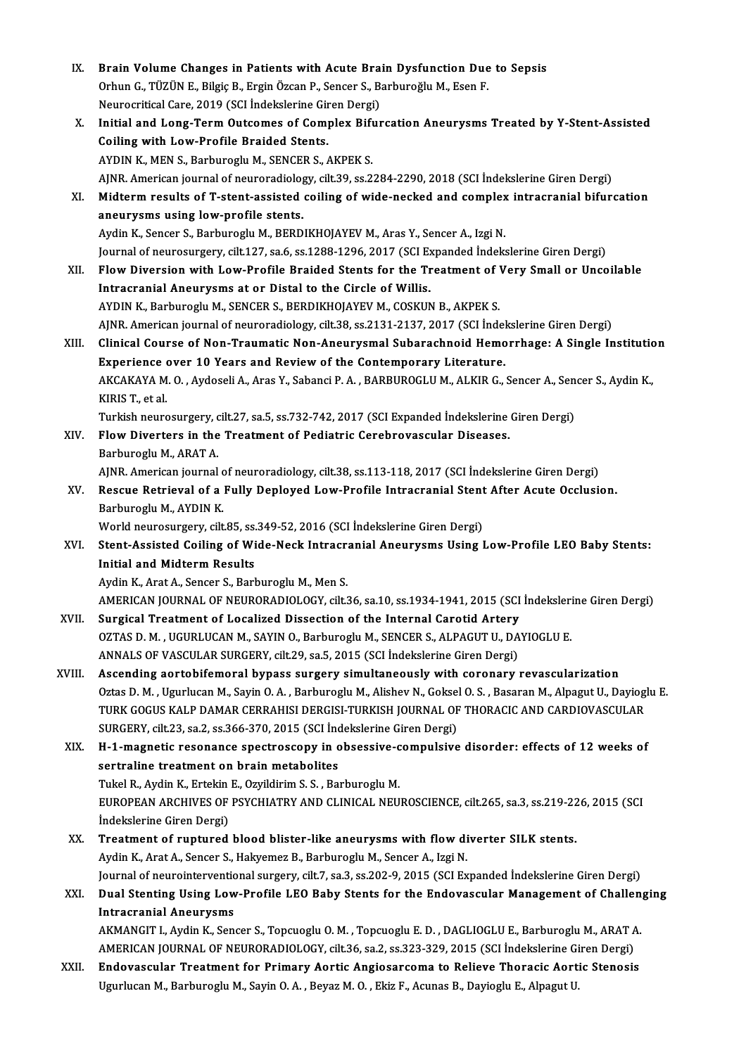IX. Brain Volume Changes in Patients with Acute Brain Dysfunction Due to Sepsis<br>Orbun G. TÜZÜN E. Bilgie B. Engin Özgan B. Sangar S. Barbungğlu M. Egan E. Brain Volume Changes in Patients with Acute Brain Dysfunction Due<br>Orhun G., TÜZÜN E., Bilgiç B., Ergin Özcan P., Sencer S., Barburoğlu M., Esen F.<br>Naunasvitisel Care 2019 (SCI İndekslerine Ciren Dargi) Brain Volume Changes in Patients with Acute Bra<br>Orhun G., TÜZÜN E., Bilgiç B., Ergin Özcan P., Sencer S., B.<br>Neurocritical Care, 2019 (SCI İndekslerine Giren Dergi)<br>Initial and Lang Term Quteames of Campley Bifus Orhun G., TÜZÜN E., Bilgiç B., Ergin Özcan P., Sencer S., Barburoğlu M., Esen F.<br>Neurocritical Care, 2019 (SCI İndekslerine Giren Dergi)<br>X. Initial and Long-Term Outcomes of Complex Bifurcation Aneurysms Treated by Y-Stent Neurocritical Care, 2019 (SCI İndekslerine Giren Dergi)<br>Initial and Long-Term Outcomes of Complex Bifu:<br>Coiling with Low-Profile Braided Stents.<br>AYDIN K., MEN S., Barburoglu M., SENCER S., AKPEK S. Initial and Long-Term Outcomes of Complex Bift<br>Coiling with Low-Profile Braided Stents.<br>AYDIN K., MEN S., Barburoglu M., SENCER S., AKPEK S.<br>AINP American journal of nouroradialogy cilt 29 cc 2 Coiling with Low-Profile Braided Stents.<br>AYDIN K., MEN S., Barburoglu M., SENCER S., AKPEK S.<br>AJNR. American journal of neuroradiology, cilt.39, ss.2284-2290, 2018 (SCI İndekslerine Giren Dergi)<br>Midterm results of T. stant XI. Midterm results of T-stent-assisted coiling of wide-necked and complex intracranial bifurcation<br>aneurysms using low-profile stents. AJNR. American journal of neuroradiolog<br>Midterm results of T-stent-assisted<br>aneurysms using low-profile stents.<br>Aydin K. Songer S. Barburogly M. BEBD Aydin K., Sencer S., Barburoglu M., BERDIKHOJAYEV M., Aras Y., Sencer A., Izgi N. aneurysms using low-profile stents.<br>Aydin K., Sencer S., Barburoglu M., BERDIKHOJAYEV M., Aras Y., Sencer A., Izgi N.<br>Journal of neurosurgery, cilt.127, sa.6, ss.1288-1296, 2017 (SCI Expanded İndekslerine Giren Dergi)<br>Flow XII. Flow Diversion with Low-Profile Braided Stents for the Treatment of Very Small or Uncoilable<br>Intracranial Aneurysms at or Distal to the Circle of Willis. Journal of neurosurgery, cilt.127, sa.6, ss.1288-1296, 2017 (SCI Expression with Low-Profile Braided Stents for the Trentar Intracranial Aneurysms at or Distal to the Circle of Willis.<br>ANDIN K. Barburgaly M. SENGER & BERDI AYDIN K., Barburoglu M., SENCER S., BERDIKHOJAYEV M., COSKUN B., AKPEK S. Intracranial Aneurysms at or Distal to the Circle of Willis.<br>AYDIN K., Barburoglu M., SENCER S., BERDIKHOJAYEV M., COSKUN B., AKPEK S.<br>AJNR. American journal of neuroradiology, cilt.38, ss.2131-2137, 2017 (SCI İndekslerine XIII. Clinical Course of Non-Traumatic Non-Aneurysmal Subarachnoid Hemorrhage: A Single Institution<br>Experience over 10 Years and Review of the Contemporary Literature. AJNR. American journal of neuroradiology, cilt.38, ss.2131-2137, 2017 (SCI İndel<br>Clinical Course of Non-Traumatic Non-Aneurysmal Subarachnoid Hemo<br>Experience over 10 Years and Review of the Contemporary Literature.<br>AKCAKAY Clinical Course of Non-Traumatic Non-Aneurysmal Subarachnoid Hemorrhage: A Single Institutic<br>Experience over 10 Years and Review of the Contemporary Literature.<br>AKCAKAYA M. O. , Aydoseli A., Aras Y., Sabanci P. A. , BARBUR Experience<br>AKCAKAYA M<br>KIRIS T., et al.<br>Turkish neurs AKCAKAYA M. O. , Aydoseli A., Aras Y., Sabanci P. A. , BARBUROGLU M., ALKIR G., Sencer A., Sen<br>KIRIS T., et al.<br>Turkish neurosurgery, cilt.27, sa.5, ss.732-742, 2017 (SCI Expanded İndekslerine Giren Dergi)<br>Flow Diverters i KIRIS T., et al.<br>Turkish neurosurgery, cilt.27, sa.5, ss.732-742, 2017 (SCI Expanded Indekslerine<br>XIV. Flow Diverters in the Treatment of Pediatric Cerebrovascular Diseases.<br>Barburoglu M., ARAT A. Turkish neurosurgery, cilt.27, sa.5, ss.732-742, 2017 (SCI Expanded İndekslerine Giren Dergi) Flow Diverters in the Treatment of Pediatric Cerebrovascular Diseases.<br>Barburoglu M., ARAT A.<br>AJNR. American journal of neuroradiology, cilt.38, ss.113-118, 2017 (SCI İndekslerine Giren Dergi)<br>Beseve Betrievel of a Eully D Barburoglu M., ARAT A.<br>AJNR. American journal of neuroradiology, cilt.38, ss.113-118, 2017 (SCI İndekslerine Giren Dergi)<br>XV. Rescue Retrieval of a Fully Deployed Low-Profile Intracranial Stent After Acute Occlusion.<br>Re AJNR. American journal c<br>Rescue Retrieval of a<br>Barburoglu M., AYDIN K.<br>World nourogurgery, cilt Rescue Retrieval of a Fully Deployed Low-Profile Intracranial Stent After Acute Occlusion.<br>Barburoglu M., AYDIN K.<br>World neurosurgery, cilt.85, ss.349-52, 2016 (SCI İndekslerine Giren Dergi) Barburoglu M., AYDIN K.<br>World neurosurgery, cilt.85, ss.349-52, 2016 (SCI İndekslerine Giren Dergi)<br>XVI. Stent-Assisted Coiling of Wide-Neck Intracranial Aneurysms Using Low-Profile LEO Baby Stents:<br>Initial and Midterm Bes World neurosurgery, cilt.85, ss.<br>Stent-Assisted Coiling of Wi<br>Initial and Midterm Results Stent-Assisted Coiling of Wide-Neck Intracra<br>Initial and Midterm Results<br>Aydin K., Arat A., Sencer S., Barburoglu M., Men S.<br>AMERICAN JOURNAL OF NEURORADIOLOCY silt 3 Initial and Midterm Results<br>Aydin K., Arat A., Sencer S., Barburoglu M., Men S.<br>AMERICAN JOURNAL OF NEURORADIOLOGY, cilt.36, sa.10, ss.1934-1941, 2015 (SCI İndekslerine Giren Dergi)<br>Sungical Treatment of Localined Discesti Aydin K., Arat A., Sencer S., Barburoglu M., Men S.<br>AMERICAN JOURNAL OF NEURORADIOLOGY, cilt.36, sa.10, ss.1934-1941, 2015 (SCI<br>XVII. Surgical Treatment of Localized Dissection of the Internal Carotid Artery<br>Q7TAS D.M., UC AMERICAN JOURNAL OF NEURORADIOLOGY, cilt.36, sa.10, ss.1934-1941, 2015 (SCI İndeksleri<br>Surgical Treatment of Localized Dissection of the Internal Carotid Artery<br>OZTAS D. M., UGURLUCAN M., SAYIN O., Barburoglu M., SENCER S. Surgical Treatment of Localized Dissection of the Internal Carotid Artery<br>OZTAS D. M. , UGURLUCAN M., SAYIN O., Barburoglu M., SENCER S., ALPAGUT U., DA<br>ANNALS OF VASCULAR SURGERY, cilt.29, sa.5, 2015 (SCI İndekslerine Gir ANNALS OF VASCULAR SURGERY, cilt.29, sa.5, 2015 (SCI Indekslerine Giren Dergi)<br>XVIII. Ascending aortobifemoral bypass surgery simultaneously with coronary revascularization ANNALS OF VASCULAR SURGERY, cilt.29, sa.5, 2015 (SCI İndekslerine Giren Dergi)<br>Ascending aortobifemoral bypass surgery simultaneously with coronary revascularization<br>Oztas D. M. , Ugurlucan M., Sayin O. A. , Barburoglu M., Ascending aortobifemoral bypass surgery simultaneously with coronary revascularization<br>Oztas D. M. , Ugurlucan M., Sayin O. A. , Barburoglu M., Alishev N., Goksel O. S. , Basaran M., Alpagut U., Dayiogl<br>TURK GOGUS KALP DAM Oztas D. M. , Ugurlucan M., Sayin O. A. , Barburoglu M., Alishev N., Goksel<br>TURK GOGUS KALP DAMAR CERRAHISI DERGISI-TURKISH JOURNAL OF<br>SURGERY, cilt.23, sa.2, ss.366-370, 2015 (SCI İndekslerine Giren Dergi)<br>H. 1. magnatis TURK GOGUS KALP DAMAR CERRAHISI DERGISI-TURKISH JOURNAL OF THORACIC AND CARDIOVASCULAR<br>SURGERY, cilt.23, sa.2, ss.366-370, 2015 (SCI Indekslerine Giren Dergi)<br>XIX. H-1-magnetic resonance spectroscopy in obsessive-compulsiv SURGERY, cilt.23, sa.2, ss.366-370, 2015 (SCI Inc<br>H-1-magnetic resonance spectroscopy in c<br>sertraline treatment on brain metabolites<br>Tukel B. Aydin K. Extekin E. Ozvildirim S. S., Ba H-1-magnetic resonance spectroscopy in obsessive-c<br>sertraline treatment on brain metabolites<br>Tukel R., Aydin K., Ertekin E., Ozyildirim S. S. , Barburoglu M.<br>FUROPEAN ARCHIVES OF PSYCHIATRY AND CLINICAL NEU sertraline treatment on brain metabolites<br>Tukel R., Aydin K., Ertekin E., Ozyildirim S. S. , Barburoglu M.<br>EUROPEAN ARCHIVES OF PSYCHIATRY AND CLINICAL NEUROSCIENCE, cilt.265, sa.3, ss.219-226, 2015 (SCI Tukel R., Aydin K., Ertekin<br>EUROPEAN ARCHIVES OF<br>İndekslerine Giren Dergi)<br>Treatment of runtured EUROPEAN ARCHIVES OF PSYCHIATRY AND CLINICAL NEUROSCIENCE, cilt.265, sa.3, ss.219-22<br>indekslerine Giren Dergi)<br>XX. Treatment of ruptured blood blister-like aneurysms with flow diverter SILK stents.<br>Avdin K, Arst A, Senser İndekslerine Giren Dergi)<br>Treatment of ruptured blood blister-like aneurysms with flow diverter SILK stents.<br>Aydin K., Arat A., Sencer S., Hakyemez B., Barburoglu M., Sencer A., Izgi N. Treatment of ruptured blood blister-like aneurysms with flow diverter SILK stents.<br>Aydin K., Arat A., Sencer S., Hakyemez B., Barburoglu M., Sencer A., Izgi N.<br>Journal of neurointerventional surgery, cilt.7, sa.3, ss.202-9 XXI. Dual Stenting Using Low-Profile LEO Baby Stents for the Endovascular Management of Challenging<br>Intracranial Aneurysms **Journal of neurointerventic<br>Dual Stenting Using Low<br>Intracranial Aneurysms** Dual Stenting Using Low-Profile LEO Baby Stents for the Endovascular Management of Challen<br>Intracranial Aneurysms<br>AKMANGIT I., Aydin K., Sencer S., Topcuoglu O. M. , Topcuoglu E. D. , DAGLIOGLU E., Barburoglu M., ARAT A.<br>A I<mark>ntracranial Aneurysms</mark><br>AKMANGIT I., Aydin K., Sencer S., Topcuoglu O. M. , Topcuoglu E. D. , DAGLIOGLU E., Barburoglu M., ARAT A<br>AMERICAN JOURNAL OF NEURORADIOLOGY, cilt.36, sa.2, ss.323-329, 2015 (SCI İndekslerine Giren AMERICAN JOURNAL OF NEURORADIOLOGY, cilt.36, sa.2, ss.323-329, 2015 (SCI Indekslerine Giren Dergi)<br>XXII. Endovascular Treatment for Primary Aortic Angiosarcoma to Relieve Thoracic Aortic Stenosis Ugurlucan M., Barburoglu M., Sayin O. A., Beyaz M. O., Ekiz F., Acunas B., Dayioglu E., Alpagut U.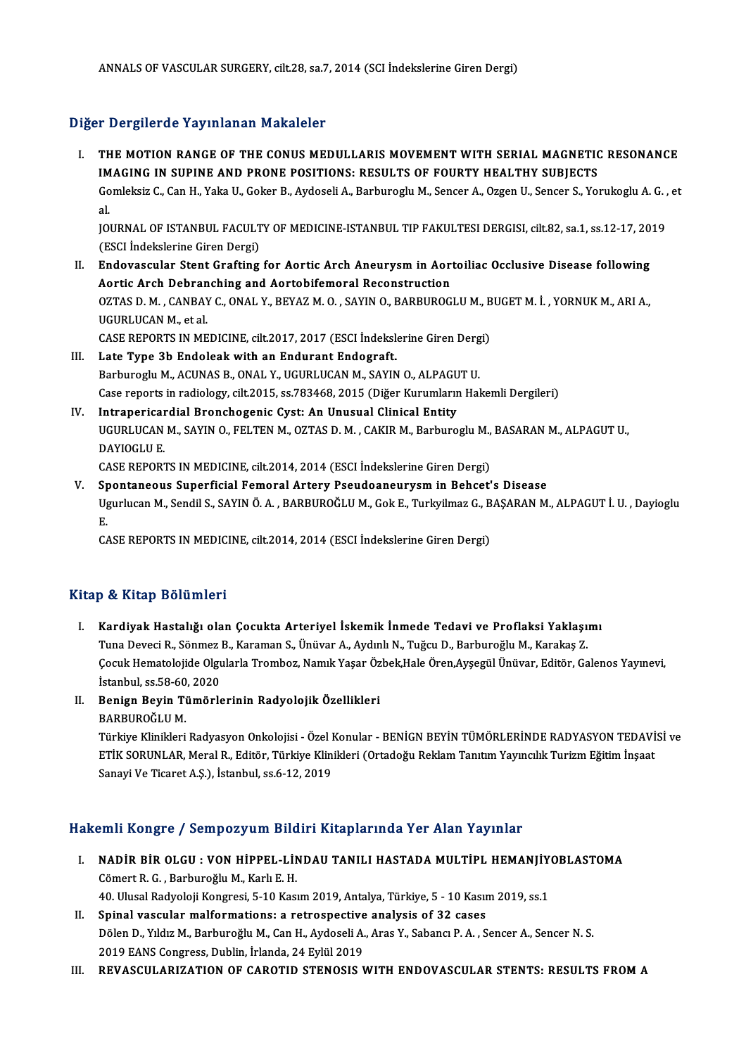# Diğer Dergilerde Yayınlanan Makaleler

- I. THE MOTION RANGE OF THE CONUS MEDULLARIS MOVEMENT WITH SERIAL MAGNETIC RESONANCE IMAGING IN SUPINE AND PRONE POSITIONS: RESULTS OF FOURTY HEALTHY SUBJECTS THE MOTION RANGE OF THE CONUS MEDULLARIS MOVEMENT WITH SERIAL MAGNETIC RESONANCE<br>IMAGING IN SUPINE AND PRONE POSITIONS: RESULTS OF FOURTY HEALTHY SUBJECTS<br>Gomleksiz C., Can H., Yaka U., Goker B., Aydoseli A., Barburoglu M. IM<br>Go<br>al. Gomleksiz C., Can H., Yaka U., Goker B., Aydoseli A., Barburoglu M., Sencer A., Ozgen U., Sencer S., Yorukoglu A. G.<br>al.<br>JOURNAL OF ISTANBUL FACULTY OF MEDICINE-ISTANBUL TIP FAKULTESI DERGISI, cilt.82, sa.1, ss.12-17, 2019 al.<br>JOURNAL OF ISTANBUL FACULTY OF MEDICINE-ISTANBUL TIP FAKULTESI DERGISI, cilt.82, sa.1, ss.12-17, 2019<br>(ESCI İndekslerine Giren Dergi) I . JOURNAL OF ISTANBUL FACULTY OF MEDICINE-ISTANBUL TIP FAKULTESI DERGISI, cilt.82, sa.1, ss.12-17, 20<br>(ESCI Indekslerine Giren Dergi)<br>II. Endovascular Stent Grafting for Aortic Arch Aneurysm in Aortoiliac Occlusive Disea
- (ESCI İndekslerine Giren Dergi)<br>Endovascular Stent Grafting for Aortic Arch Aneurysm in Aort<br>Aortic Arch Debranching and Aortobifemoral Reconstruction<br>OZTAS D.M. CANBAY G. ONAL Y. BEYAZM O. SAVIN O. BARBUROC Endovascular Stent Grafting for Aortic Arch Aneurysm in Aortoiliac Occlusive Disease following<br>Aortic Arch Debranching and Aortobifemoral Reconstruction<br>OZTAS D. M. , CANBAY C., ONAL Y., BEYAZ M. O. , SAYIN O., BARBUROGLU Aortic Arch Debran<br>OZTAS D. M., CANBA)<br>UGURLUCAN M., et al.<br>CASE BEDOPTS IN ME OZTAS D. M. , CANBAY C., ONAL Y., BEYAZ M. O. , SAYIN O., BARBUROGLU M., B<br>UGURLUCAN M., et al.<br>CASE REPORTS IN MEDICINE, cilt.2017, 2017 (ESCI İndekslerine Giren Dergi)<br>Lata Tuna 3h Endalaak with an Endurant Endagraft UGURLUCAN M., et al.<br>CASE REPORTS IN MEDICINE, cilt.2017, 2017 (ESCI İndekslerine Giren Dergi)<br>III. Late Type 3b Endoleak with an Endurant Endograft.
- CASE REPORTS IN MEDICINE, cilt.2017, 2017 (ESCI İndekslerine Giren Derg<br>Late Type 3b Endoleak with an Endurant Endograft.<br>Barburoglu M., ACUNAS B., ONAL Y., UGURLUCAN M., SAYIN O., ALPAGUT U.<br>Case reports in radiology, sil Case reports in radiology, cilt.2015, ss.783468, 2015 (Diğer Kurumların Hakemli Dergileri) Barburoglu M., ACUNAS B., ONAL Y., UGURLUCAN M., SAYIN O., ALPAGU<br>Case reports in radiology, cilt.2015, ss.783468, 2015 (Diğer Kurumlarır<br>IV. Intrapericardial Bronchogenic Cyst: An Unusual Clinical Entity<br>IICUBLUCAN M. SAY
- Case reports in radiology, cilt.2015, ss.783468, 2015 (Diğer Kurumların Hakemli Dergileri)<br>Intrapericardial Bronchogenic Cyst: An Unusual Clinical Entity<br>UGURLUCAN M., SAYIN O., FELTEN M., OZTAS D. M. , CAKIR M., Barburogl IV. Intrapericardial Bronchogenic Cyst: An Unusual Clinical Entity<br>UGURLUCAN M., SAYIN O., FELTEN M., OZTAS D. M., CAKIR M., Barburoglu M.<br>DAYIOGLU E.<br>CASE REPORTS IN MEDICINE, cilt.2014, 2014 (ESCI İndekslerine Giren Derg UGURLUCAN M., SAYIN O., FELTEN M., OZTAS D. M. , CAKIR M., Barburoglu M.,<br>DAYIOGLU E.<br>CASE REPORTS IN MEDICINE, cilt.2014, 2014 (ESCI İndekslerine Giren Dergi)<br>Spontanoous Superfisial Femoral Artary Beaudeanourysm in Bebea
- V. Spontaneous Superficial Femoral Artery Pseudoaneurysmin Behcet's Disease CASE REPORTS IN MEDICINE, cilt.2014, 2014 (ESCI İndekslerine Giren Dergi)<br>Spontaneous Superficial Femoral Artery Pseudoaneurysm in Behcet's Disease<br>Ugurlucan M., Sendil S., SAYIN Ö. A. , BARBUROĞLU M., Gok E., Turkyilmaz G S<sub>p</sub><br>U<sub>g</sub> Ugurlucan M., Sendil S., SAYIN Ö. A. , BARBUROĞLU M., Gok E., Turkyilmaz G., B<br>E.<br>CASE REPORTS IN MEDICINE, cilt.2014, 2014 (ESCI İndekslerine Giren Dergi)

CASE REPORTS IN MEDICINE, cilt.2014, 2014 (ESCI İndekslerine Giren Dergi)<br>Kitap & Kitap Bölümleri

- I. Kardiyak Hastalığı olan Çocukta Arteriyel İskemik İnmede Tedavi ve Proflaksi Yaklaşımı Tuna Deveci R., Sönmez B., Karaman S., Ünüvar A., Aydınlı N., Tuğcu D., Barburoğlu M., Karakaş Z. Kardiyak Hastalığı olan Çocukta Arteriyel İskemik İnmede Tedavi ve Proflaksi Yaklaşımı<br>Tuna Deveci R., Sönmez B., Karaman S., Ünüvar A., Aydınlı N., Tuğcu D., Barburoğlu M., Karakaş Z.<br>Çocuk Hematolojide Olgularla Tromboz, Tuna Deveci R., Sönmez I<br>Çocuk Hematolojide Olgu<br>İstanbul, ss.58-60, 2020<br>Ponian Povin Tümörle Cocuk Hematolojide Olgularla Tromboz, Namık Yaşar Öz<br>İstanbul, ss.58-60, 2020<br>II. Benign Beyin Tümörlerinin Radyolojik Özellikleri<br>PARRUROČLUM İstanbul, ss.58-60<br><mark>Benign Beyin Ti</mark><br>BARBUROĞLU M.<br>Türkiye Klinikleri
- 

Be<mark>nign Beyin Tümörlerinin Radyolojik Özellikleri</mark><br>BARBUROĞLU M.<br>Türkiye Klinikleri Radyasyon Onkolojisi - Özel Konular - BENİGN BEYİN TÜMÖRLERİNDE RADYASYON TEDAVİSİ ve<br>ETİK SORUNLAR Maral B. Editör Türkiye Klinikleri (Or BARBUROĞLU M.<br>Türkiye Klinikleri Radyasyon Onkolojisi - Özel Konular - BENİGN BEYİN TÜMÖRLERİNDE RADYASYON TEDAVİ<br>ETİK SORUNLAR, Meral R., Editör, Türkiye Klinikleri (Ortadoğu Reklam Tanıtım Yayıncılık Turizm Eğitim İnşaat ETİK SORUNLAR, Meral R., Editör, Türkiye Klinikleri (Ortadoğu Reklam Tanıtım Yayıncılık Turizm Eğitim İnşaat<br>Sanayi Ve Ticaret A.Ş.), İstanbul, ss.6-12, 2019

# Hakemli Kongre / Sempozyum Bildiri Kitaplarında Yer Alan Yayınlar

- akemli Kongre / Sempozyum Bildiri Kitaplarında Yer Alan Yayınlar<br>I. NADİR BİR OLGU : VON HİPPEL-LİNDAU TANILI HASTADA MULTİPL HEMANJİYOBLASTOMA SINIT RORGI C / SOMPORY UM BRU<br>NADİR BİR OLGU : VON HİPPEL-LİN<br>Cömert R. G. , Barburoğlu M., Karlı E. H. NADİR BİR OLGU : VON HİPPEL-LİNDAU TANILI HASTADA MULTİPL HEMANJİY<br>Cömert R. G. , Barburoğlu M., Karlı E. H.<br>40. Ulusal Radyoloji Kongresi, 5-10 Kasım 2019, Antalya, Türkiye, 5 - 10 Kasım 2019, ss.1<br>Sninal wasaular malform Cömert R. G. , Barburoğlu M., Karlı E. H.<br>40. Ulusal Radyoloji Kongresi, 5-10 Kasım 2019, Antalya, Türkiye, 5 - 10 Kasım 2019, ss.1<br>II. Spinal vascular malformations: a retrospective analysis of 32 cases
- Dölen D., Yıldız M., Barburoğlu M., Can H., Aydoseli A., Aras Y., Sabancı P. A., Sencer A., Sencer N. S. 2019 EANS Congress, Dublin, İrlanda, 24 Eylül 2019
- III. REVASCULARIZATION OF CAROTID STENOSIS WITH ENDOVASCULAR STENTS: RESULTS FROM A